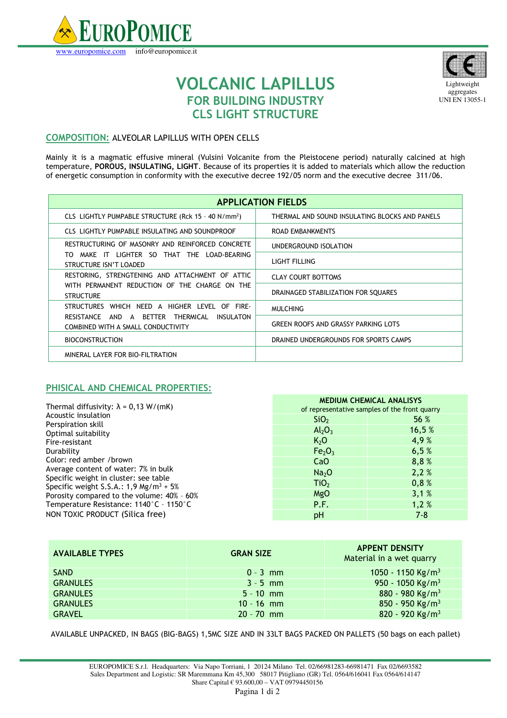



Lightweight aggregates UNI EN 13055-1

## **VOLCANIC LAPILLUS FOR BUILDING INDUSTRY CLS LIGHT STRUCTURE**

## **COMPOSITION:** ALVEOLAR LAPILLUS WITH OPEN CELLS

Mainly it is a magmatic effusive mineral (Vulsini Volcanite from the Pleistocene period) naturally calcined at high temperature, **POROUS, INSULATING, LIGHT**. Because of its properties it is added to materials which allow the reduction of energetic consumption in conformity with the executive decree 192/05 norm and the executive decree 311/06.

| <b>APPLICATION FIELDS</b>                                                                                                                |                                                |  |  |  |
|------------------------------------------------------------------------------------------------------------------------------------------|------------------------------------------------|--|--|--|
| CLS LIGHTLY PUMPABLE STRUCTURE (Rck 15 - 40 N/mm <sup>2</sup> )                                                                          | THERMAL AND SOUND INSULATING BLOCKS AND PANELS |  |  |  |
| CLS LIGHTLY PUMPABLE INSULATING AND SOUNDPROOF                                                                                           | <b>ROAD EMBANKMENTS</b>                        |  |  |  |
| RESTRUCTURING OF MASONRY AND REINFORCED CONCRETE                                                                                         | UNDERGROUND ISOLATION                          |  |  |  |
| MAKE IT LIGHTER SO THAT THE LOAD-BEARING<br>TO.<br>STRUCTURE ISN'T LOADED                                                                | LIGHT FILLING                                  |  |  |  |
| RESTORING, STRENGTENING AND ATTACHMENT OF ATTIC                                                                                          | <b>CLAY COURT BOTTOMS</b>                      |  |  |  |
| WITH PERMANENT REDUCTION OF THE CHARGE ON THE<br><b>STRUCTURE</b>                                                                        | DRAINAGED STABILIZATION FOR SQUARES            |  |  |  |
| STRUCTURES WHICH NEED A HIGHER LEVEL OF FIRE-<br>BETTER THERMICAL<br>RESISTANCE AND A<br>INSULATON<br>COMBINED WITH A SMALL CONDUCTIVITY | <b>MULCHING</b>                                |  |  |  |
|                                                                                                                                          | <b>GREEN ROOFS AND GRASSY PARKING LOTS</b>     |  |  |  |
| <b>BIOCONSTRUCTION</b>                                                                                                                   | DRAINED UNDERGROUNDS FOR SPORTS CAMPS          |  |  |  |
| MINERAL LAYER FOR BIO-FILTRATION                                                                                                         |                                                |  |  |  |

## **PHISICAL AND CHEMICAL PROPERTIES:**

| Thermal diffusivity: $\lambda$ = 0,13 W/(mK) |  |
|----------------------------------------------|--|
| Acoustic insulation                          |  |
| Perspiration skill                           |  |
| Optimal suitability                          |  |
| Fire-resistant                               |  |
| Durabilitv                                   |  |
| Color: red amber /brown                      |  |
| Average content of water: 7% in bulk         |  |
| Specific weight in cluster: see table        |  |
| Specific weight S.S.A.: 1,9 Mg/m $^3$ + 5%   |  |
| Porosity compared to the volume: 40% - 60%   |  |
| Temperature Resistance: 1140°C - 1150°C      |  |
| NON TOXIC PRODUCT (Silica free)              |  |
|                                              |  |

| <b>MEDIUM CHEMICAL ANALISYS</b><br>of representative samples of the front quarry |         |  |  |  |
|----------------------------------------------------------------------------------|---------|--|--|--|
| SiO <sub>2</sub>                                                                 | 56 %    |  |  |  |
| Al <sub>2</sub> O <sub>3</sub>                                                   | 16,5 %  |  |  |  |
| K <sub>2</sub> O                                                                 | 4,9%    |  |  |  |
| Fe <sub>2</sub> O <sub>3</sub>                                                   | 6,5%    |  |  |  |
| CaO                                                                              | 8,8%    |  |  |  |
| Na <sub>2</sub> O                                                                | 2,2%    |  |  |  |
| TiO <sub>2</sub>                                                                 | 0,8%    |  |  |  |
| MgO                                                                              | 3,1%    |  |  |  |
| P.F.                                                                             | 1,2%    |  |  |  |
| рH                                                                               | $7 - 8$ |  |  |  |

| <b>AVAILABLE TYPES</b> | <b>GRAN SIZE</b> | <b>APPENT DENSITY</b><br>Material in a wet quarry |  |
|------------------------|------------------|---------------------------------------------------|--|
| <b>SAND</b>            | $0 - 3$ mm       | 1050 - 1150 Kg/m <sup>3</sup>                     |  |
| <b>GRANULES</b>        | $3 - 5$ mm       | 950 - 1050 Kg/m <sup>3</sup>                      |  |
| <b>GRANULES</b>        | $5 - 10$ mm      | 880 - 980 Kg/m <sup>3</sup>                       |  |
| <b>GRANULES</b>        | $10 - 16$ mm     | 850 - 950 Kg/m <sup>3</sup>                       |  |
| <b>GRAVEL</b>          | $20 - 70$ mm     | 820 - 920 Kg/m <sup>3</sup>                       |  |

AVAILABLE UNPACKED, IN BAGS (BIG-BAGS) 1,5MC SIZE AND IN 33LT BAGS PACKED ON PALLETS (50 bags on each pallet)